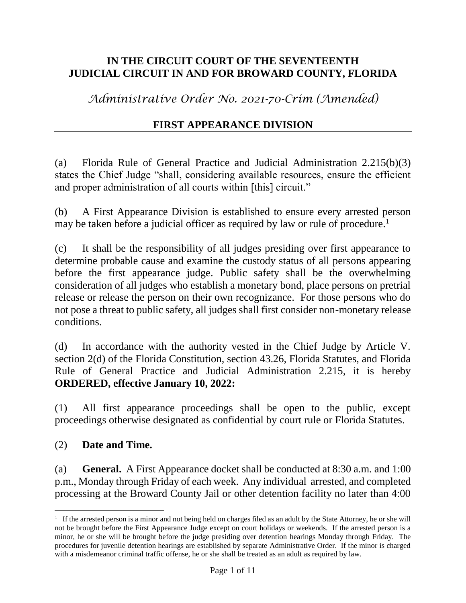## **IN THE CIRCUIT COURT OF THE SEVENTEENTH JUDICIAL CIRCUIT IN AND FOR BROWARD COUNTY, FLORIDA**

*Administrative Order No. 2021-70-Crim (Amended)*

## **FIRST APPEARANCE DIVISION**

(a) Florida Rule of General Practice and Judicial Administration 2.215(b)(3) states the Chief Judge "shall, considering available resources, ensure the efficient and proper administration of all courts within [this] circuit."

(b) A First Appearance Division is established to ensure every arrested person may be taken before a judicial officer as required by law or rule of procedure.<sup>1</sup>

(c) It shall be the responsibility of all judges presiding over first appearance to determine probable cause and examine the custody status of all persons appearing before the first appearance judge. Public safety shall be the overwhelming consideration of all judges who establish a monetary bond, place persons on pretrial release or release the person on their own recognizance. For those persons who do not pose a threat to public safety, all judges shall first consider non-monetary release conditions.

(d) In accordance with the authority vested in the Chief Judge by Article V. section 2(d) of the Florida Constitution, section 43.26, Florida Statutes, and Florida Rule of General Practice and Judicial Administration 2.215, it is hereby **ORDERED, effective January 10, 2022:**

(1) All first appearance proceedings shall be open to the public, except proceedings otherwise designated as confidential by court rule or Florida Statutes.

#### (2) **Date and Time.**

 $\overline{a}$ 

(a) **General.** A First Appearance docket shall be conducted at 8:30 a.m. and 1:00 p.m., Monday through Friday of each week. Any individual arrested, and completed processing at the Broward County Jail or other detention facility no later than 4:00

<sup>&</sup>lt;sup>1</sup> If the arrested person is a minor and not being held on charges filed as an adult by the State Attorney, he or she will not be brought before the First Appearance Judge except on court holidays or weekends. If the arrested person is a minor, he or she will be brought before the judge presiding over detention hearings Monday through Friday. The procedures for juvenile detention hearings are established by separate Administrative Order. If the minor is charged with a misdemeanor criminal traffic offense, he or she shall be treated as an adult as required by law.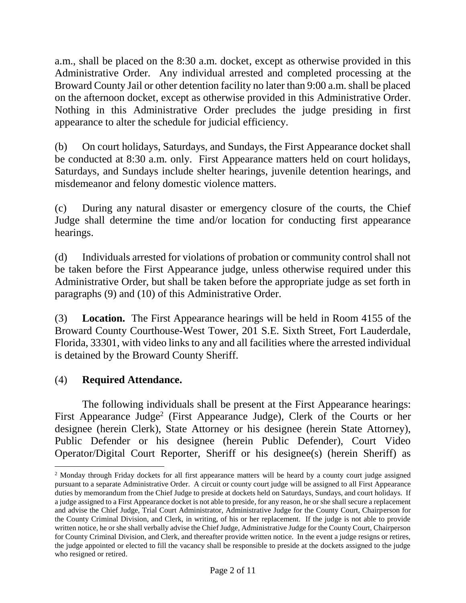a.m., shall be placed on the 8:30 a.m. docket, except as otherwise provided in this Administrative Order. Any individual arrested and completed processing at the Broward County Jail or other detention facility no later than 9:00 a.m. shall be placed on the afternoon docket, except as otherwise provided in this Administrative Order. Nothing in this Administrative Order precludes the judge presiding in first appearance to alter the schedule for judicial efficiency.

(b) On court holidays, Saturdays, and Sundays, the First Appearance docket shall be conducted at 8:30 a.m. only. First Appearance matters held on court holidays, Saturdays, and Sundays include shelter hearings, juvenile detention hearings, and misdemeanor and felony domestic violence matters.

(c) During any natural disaster or emergency closure of the courts, the Chief Judge shall determine the time and/or location for conducting first appearance hearings.

(d) Individuals arrested for violations of probation or community control shall not be taken before the First Appearance judge, unless otherwise required under this Administrative Order, but shall be taken before the appropriate judge as set forth in paragraphs (9) and (10) of this Administrative Order.

(3) **Location.** The First Appearance hearings will be held in Room 4155 of the Broward County Courthouse-West Tower, 201 S.E. Sixth Street, Fort Lauderdale, Florida, 33301, with video links to any and all facilities where the arrested individual is detained by the Broward County Sheriff.

### (4) **Required Attendance.**

 $\overline{a}$ 

The following individuals shall be present at the First Appearance hearings: First Appearance Judge<sup>2</sup> (First Appearance Judge), Clerk of the Courts or her designee (herein Clerk), State Attorney or his designee (herein State Attorney), Public Defender or his designee (herein Public Defender), Court Video Operator/Digital Court Reporter, Sheriff or his designee(s) (herein Sheriff) as

<sup>&</sup>lt;sup>2</sup> Monday through Friday dockets for all first appearance matters will be heard by a county court judge assigned pursuant to a separate Administrative Order. A circuit or county court judge will be assigned to all First Appearance duties by memorandum from the Chief Judge to preside at dockets held on Saturdays, Sundays, and court holidays. If a judge assigned to a First Appearance docket is not able to preside, for any reason, he or she shall secure a replacement and advise the Chief Judge, Trial Court Administrator, Administrative Judge for the County Court, Chairperson for the County Criminal Division, and Clerk, in writing, of his or her replacement. If the judge is not able to provide written notice, he or she shall verbally advise the Chief Judge, Administrative Judge for the County Court, Chairperson for County Criminal Division, and Clerk, and thereafter provide written notice. In the event a judge resigns or retires, the judge appointed or elected to fill the vacancy shall be responsible to preside at the dockets assigned to the judge who resigned or retired.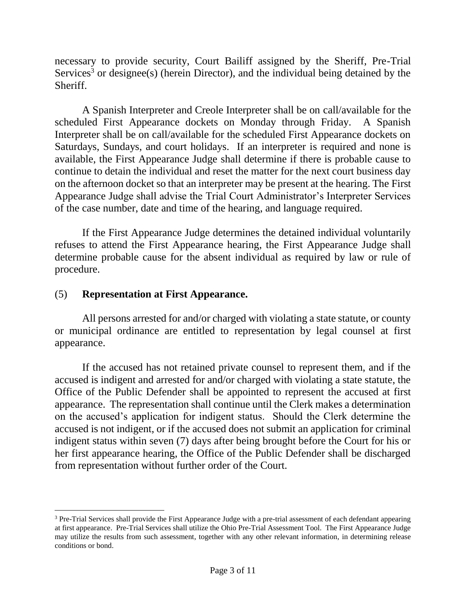necessary to provide security, Court Bailiff assigned by the Sheriff, Pre-Trial Services<sup>3</sup> or designee(s) (herein Director), and the individual being detained by the Sheriff.

A Spanish Interpreter and Creole Interpreter shall be on call/available for the scheduled First Appearance dockets on Monday through Friday. A Spanish Interpreter shall be on call/available for the scheduled First Appearance dockets on Saturdays, Sundays, and court holidays. If an interpreter is required and none is available, the First Appearance Judge shall determine if there is probable cause to continue to detain the individual and reset the matter for the next court business day on the afternoon docket so that an interpreter may be present at the hearing. The First Appearance Judge shall advise the Trial Court Administrator's Interpreter Services of the case number, date and time of the hearing, and language required.

If the First Appearance Judge determines the detained individual voluntarily refuses to attend the First Appearance hearing, the First Appearance Judge shall determine probable cause for the absent individual as required by law or rule of procedure.

#### (5) **Representation at First Appearance.**

 $\overline{a}$ 

All persons arrested for and/or charged with violating a state statute, or county or municipal ordinance are entitled to representation by legal counsel at first appearance.

If the accused has not retained private counsel to represent them, and if the accused is indigent and arrested for and/or charged with violating a state statute, the Office of the Public Defender shall be appointed to represent the accused at first appearance. The representation shall continue until the Clerk makes a determination on the accused's application for indigent status. Should the Clerk determine the accused is not indigent, or if the accused does not submit an application for criminal indigent status within seven (7) days after being brought before the Court for his or her first appearance hearing, the Office of the Public Defender shall be discharged from representation without further order of the Court.

<sup>&</sup>lt;sup>3</sup> Pre-Trial Services shall provide the First Appearance Judge with a pre-trial assessment of each defendant appearing at first appearance. Pre-Trial Services shall utilize the Ohio Pre-Trial Assessment Tool. The First Appearance Judge may utilize the results from such assessment, together with any other relevant information, in determining release conditions or bond.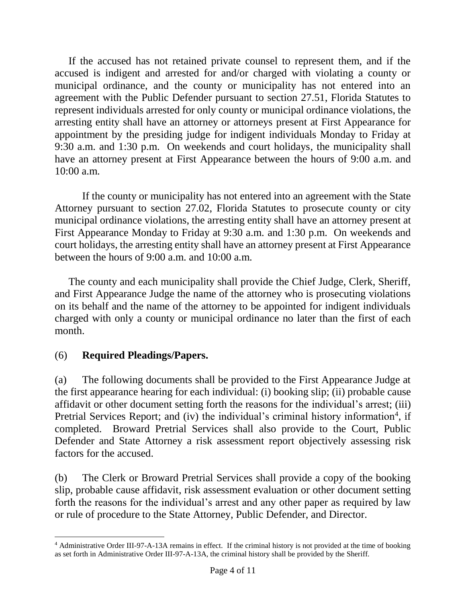If the accused has not retained private counsel to represent them, and if the accused is indigent and arrested for and/or charged with violating a county or municipal ordinance, and the county or municipality has not entered into an agreement with the Public Defender pursuant to section 27.51, Florida Statutes to represent individuals arrested for only county or municipal ordinance violations, the arresting entity shall have an attorney or attorneys present at First Appearance for appointment by the presiding judge for indigent individuals Monday to Friday at 9:30 a.m. and 1:30 p.m. On weekends and court holidays, the municipality shall have an attorney present at First Appearance between the hours of 9:00 a.m. and 10:00 a.m.

If the county or municipality has not entered into an agreement with the State Attorney pursuant to section 27.02, Florida Statutes to prosecute county or city municipal ordinance violations, the arresting entity shall have an attorney present at First Appearance Monday to Friday at 9:30 a.m. and 1:30 p.m. On weekends and court holidays, the arresting entity shall have an attorney present at First Appearance between the hours of 9:00 a.m. and 10:00 a.m.

The county and each municipality shall provide the Chief Judge, Clerk, Sheriff, and First Appearance Judge the name of the attorney who is prosecuting violations on its behalf and the name of the attorney to be appointed for indigent individuals charged with only a county or municipal ordinance no later than the first of each month.

### (6) **Required Pleadings/Papers.**

(a) The following documents shall be provided to the First Appearance Judge at the first appearance hearing for each individual: (i) booking slip; (ii) probable cause affidavit or other document setting forth the reasons for the individual's arrest; (iii) Pretrial Services Report; and (iv) the individual's criminal history information<sup>4</sup>, if completed. Broward Pretrial Services shall also provide to the Court, Public Defender and State Attorney a risk assessment report objectively assessing risk factors for the accused.

(b) The Clerk or Broward Pretrial Services shall provide a copy of the booking slip, probable cause affidavit, risk assessment evaluation or other document setting forth the reasons for the individual's arrest and any other paper as required by law or rule of procedure to the State Attorney, Public Defender, and Director.

 $\overline{a}$ <sup>4</sup> Administrative Order III-97-A-13A remains in effect. If the criminal history is not provided at the time of booking as set forth in Administrative Order III-97-A-13A, the criminal history shall be provided by the Sheriff.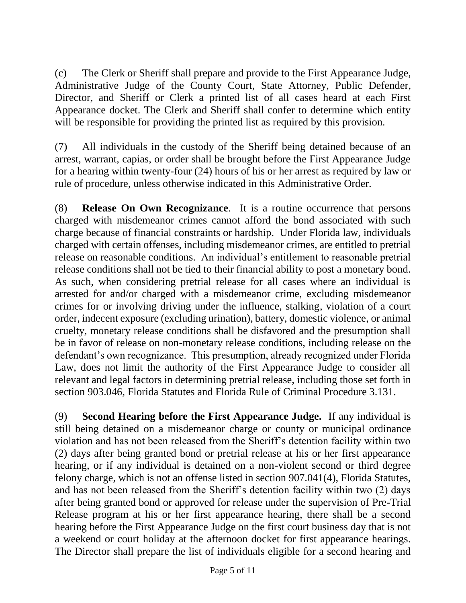(c) The Clerk or Sheriff shall prepare and provide to the First Appearance Judge, Administrative Judge of the County Court, State Attorney, Public Defender, Director, and Sheriff or Clerk a printed list of all cases heard at each First Appearance docket. The Clerk and Sheriff shall confer to determine which entity will be responsible for providing the printed list as required by this provision.

(7) All individuals in the custody of the Sheriff being detained because of an arrest, warrant, capias, or order shall be brought before the First Appearance Judge for a hearing within twenty-four (24) hours of his or her arrest as required by law or rule of procedure, unless otherwise indicated in this Administrative Order.

(8) **Release On Own Recognizance**. It is a routine occurrence that persons charged with misdemeanor crimes cannot afford the bond associated with such charge because of financial constraints or hardship. Under Florida law, individuals charged with certain offenses, including misdemeanor crimes, are entitled to pretrial release on reasonable conditions. An individual's entitlement to reasonable pretrial release conditions shall not be tied to their financial ability to post a monetary bond. As such, when considering pretrial release for all cases where an individual is arrested for and/or charged with a misdemeanor crime, excluding misdemeanor crimes for or involving driving under the influence, stalking, violation of a court order, indecent exposure (excluding urination), battery, domestic violence, or animal cruelty, monetary release conditions shall be disfavored and the presumption shall be in favor of release on non-monetary release conditions, including release on the defendant's own recognizance. This presumption, already recognized under Florida Law, does not limit the authority of the First Appearance Judge to consider all relevant and legal factors in determining pretrial release, including those set forth in section 903.046, Florida Statutes and Florida Rule of Criminal Procedure 3.131.

(9) **Second Hearing before the First Appearance Judge.** If any individual is still being detained on a misdemeanor charge or county or municipal ordinance violation and has not been released from the Sheriff's detention facility within two (2) days after being granted bond or pretrial release at his or her first appearance hearing, or if any individual is detained on a non-violent second or third degree felony charge, which is not an offense listed in section 907.041(4), Florida Statutes, and has not been released from the Sheriff's detention facility within two (2) days after being granted bond or approved for release under the supervision of Pre-Trial Release program at his or her first appearance hearing, there shall be a second hearing before the First Appearance Judge on the first court business day that is not a weekend or court holiday at the afternoon docket for first appearance hearings. The Director shall prepare the list of individuals eligible for a second hearing and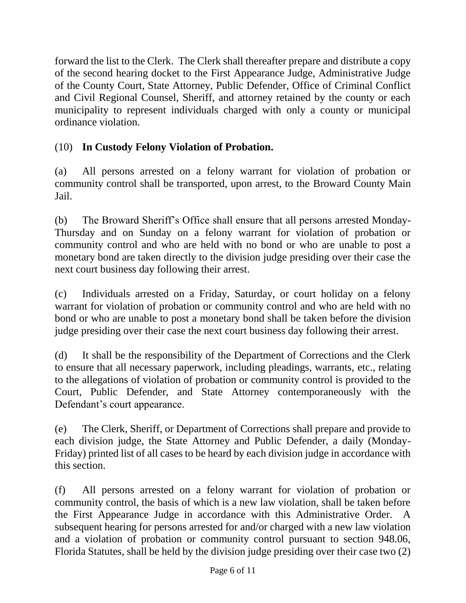forward the list to the Clerk. The Clerk shall thereafter prepare and distribute a copy of the second hearing docket to the First Appearance Judge, Administrative Judge of the County Court, State Attorney, Public Defender, Office of Criminal Conflict and Civil Regional Counsel, Sheriff, and attorney retained by the county or each municipality to represent individuals charged with only a county or municipal ordinance violation.

# (10) **In Custody Felony Violation of Probation.**

(a) All persons arrested on a felony warrant for violation of probation or community control shall be transported, upon arrest, to the Broward County Main Jail.

(b) The Broward Sheriff's Office shall ensure that all persons arrested Monday-Thursday and on Sunday on a felony warrant for violation of probation or community control and who are held with no bond or who are unable to post a monetary bond are taken directly to the division judge presiding over their case the next court business day following their arrest.

(c) Individuals arrested on a Friday, Saturday, or court holiday on a felony warrant for violation of probation or community control and who are held with no bond or who are unable to post a monetary bond shall be taken before the division judge presiding over their case the next court business day following their arrest.

(d) It shall be the responsibility of the Department of Corrections and the Clerk to ensure that all necessary paperwork, including pleadings, warrants, etc., relating to the allegations of violation of probation or community control is provided to the Court, Public Defender, and State Attorney contemporaneously with the Defendant's court appearance.

(e) The Clerk, Sheriff, or Department of Corrections shall prepare and provide to each division judge, the State Attorney and Public Defender, a daily (Monday-Friday) printed list of all cases to be heard by each division judge in accordance with this section.

(f) All persons arrested on a felony warrant for violation of probation or community control, the basis of which is a new law violation, shall be taken before the First Appearance Judge in accordance with this Administrative Order. A subsequent hearing for persons arrested for and/or charged with a new law violation and a violation of probation or community control pursuant to section 948.06, Florida Statutes, shall be held by the division judge presiding over their case two (2)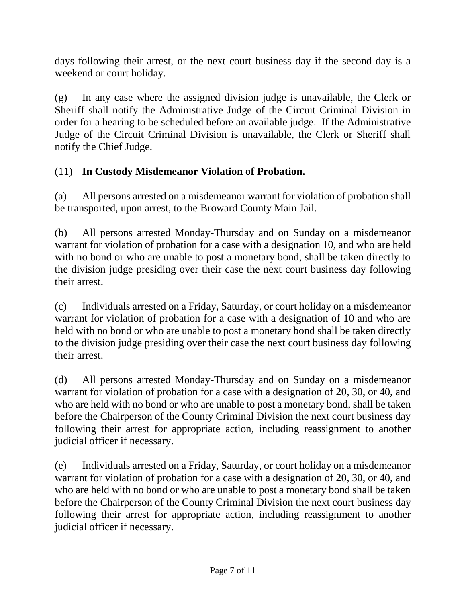days following their arrest, or the next court business day if the second day is a weekend or court holiday.

(g) In any case where the assigned division judge is unavailable, the Clerk or Sheriff shall notify the Administrative Judge of the Circuit Criminal Division in order for a hearing to be scheduled before an available judge. If the Administrative Judge of the Circuit Criminal Division is unavailable, the Clerk or Sheriff shall notify the Chief Judge.

# (11) **In Custody Misdemeanor Violation of Probation.**

(a) All persons arrested on a misdemeanor warrant for violation of probation shall be transported, upon arrest, to the Broward County Main Jail.

(b) All persons arrested Monday-Thursday and on Sunday on a misdemeanor warrant for violation of probation for a case with a designation 10, and who are held with no bond or who are unable to post a monetary bond, shall be taken directly to the division judge presiding over their case the next court business day following their arrest.

(c) Individuals arrested on a Friday, Saturday, or court holiday on a misdemeanor warrant for violation of probation for a case with a designation of 10 and who are held with no bond or who are unable to post a monetary bond shall be taken directly to the division judge presiding over their case the next court business day following their arrest.

(d) All persons arrested Monday-Thursday and on Sunday on a misdemeanor warrant for violation of probation for a case with a designation of 20, 30, or 40, and who are held with no bond or who are unable to post a monetary bond, shall be taken before the Chairperson of the County Criminal Division the next court business day following their arrest for appropriate action, including reassignment to another judicial officer if necessary.

(e) Individuals arrested on a Friday, Saturday, or court holiday on a misdemeanor warrant for violation of probation for a case with a designation of 20, 30, or 40, and who are held with no bond or who are unable to post a monetary bond shall be taken before the Chairperson of the County Criminal Division the next court business day following their arrest for appropriate action, including reassignment to another judicial officer if necessary.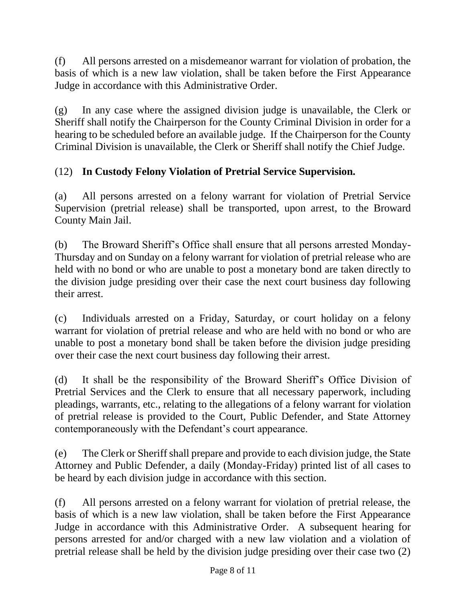(f) All persons arrested on a misdemeanor warrant for violation of probation, the basis of which is a new law violation, shall be taken before the First Appearance Judge in accordance with this Administrative Order.

(g) In any case where the assigned division judge is unavailable, the Clerk or Sheriff shall notify the Chairperson for the County Criminal Division in order for a hearing to be scheduled before an available judge. If the Chairperson for the County Criminal Division is unavailable, the Clerk or Sheriff shall notify the Chief Judge.

# (12) **In Custody Felony Violation of Pretrial Service Supervision.**

(a) All persons arrested on a felony warrant for violation of Pretrial Service Supervision (pretrial release) shall be transported, upon arrest, to the Broward County Main Jail.

(b) The Broward Sheriff's Office shall ensure that all persons arrested Monday-Thursday and on Sunday on a felony warrant for violation of pretrial release who are held with no bond or who are unable to post a monetary bond are taken directly to the division judge presiding over their case the next court business day following their arrest.

(c) Individuals arrested on a Friday, Saturday, or court holiday on a felony warrant for violation of pretrial release and who are held with no bond or who are unable to post a monetary bond shall be taken before the division judge presiding over their case the next court business day following their arrest.

(d) It shall be the responsibility of the Broward Sheriff's Office Division of Pretrial Services and the Clerk to ensure that all necessary paperwork, including pleadings, warrants, etc., relating to the allegations of a felony warrant for violation of pretrial release is provided to the Court, Public Defender, and State Attorney contemporaneously with the Defendant's court appearance.

(e) The Clerk or Sheriff shall prepare and provide to each division judge, the State Attorney and Public Defender, a daily (Monday-Friday) printed list of all cases to be heard by each division judge in accordance with this section.

(f) All persons arrested on a felony warrant for violation of pretrial release, the basis of which is a new law violation, shall be taken before the First Appearance Judge in accordance with this Administrative Order. A subsequent hearing for persons arrested for and/or charged with a new law violation and a violation of pretrial release shall be held by the division judge presiding over their case two (2)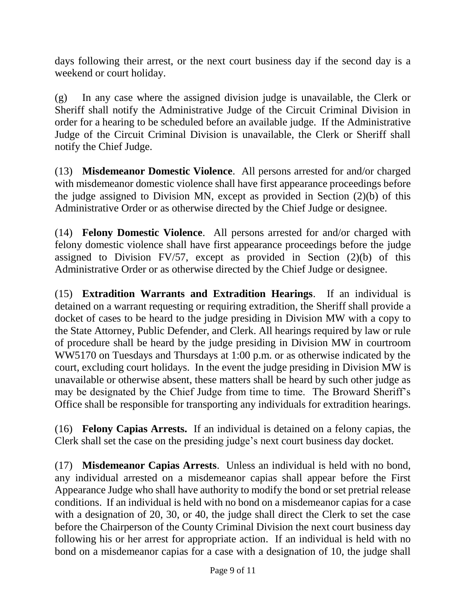days following their arrest, or the next court business day if the second day is a weekend or court holiday.

(g) In any case where the assigned division judge is unavailable, the Clerk or Sheriff shall notify the Administrative Judge of the Circuit Criminal Division in order for a hearing to be scheduled before an available judge. If the Administrative Judge of the Circuit Criminal Division is unavailable, the Clerk or Sheriff shall notify the Chief Judge.

(13) **Misdemeanor Domestic Violence**. All persons arrested for and/or charged with misdemeanor domestic violence shall have first appearance proceedings before the judge assigned to Division MN, except as provided in Section (2)(b) of this Administrative Order or as otherwise directed by the Chief Judge or designee.

(14) **Felony Domestic Violence**.All persons arrested for and/or charged with felony domestic violence shall have first appearance proceedings before the judge assigned to Division FV/57, except as provided in Section (2)(b) of this Administrative Order or as otherwise directed by the Chief Judge or designee.

(15) **Extradition Warrants and Extradition Hearings**. If an individual is detained on a warrant requesting or requiring extradition, the Sheriff shall provide a docket of cases to be heard to the judge presiding in Division MW with a copy to the State Attorney, Public Defender, and Clerk. All hearings required by law or rule of procedure shall be heard by the judge presiding in Division MW in courtroom WW5170 on Tuesdays and Thursdays at 1:00 p.m. or as otherwise indicated by the court, excluding court holidays. In the event the judge presiding in Division MW is unavailable or otherwise absent, these matters shall be heard by such other judge as may be designated by the Chief Judge from time to time. The Broward Sheriff's Office shall be responsible for transporting any individuals for extradition hearings.

(16) **Felony Capias Arrests.** If an individual is detained on a felony capias, the Clerk shall set the case on the presiding judge's next court business day docket.

(17) **Misdemeanor Capias Arrests**. Unless an individual is held with no bond, any individual arrested on a misdemeanor capias shall appear before the First Appearance Judge who shall have authority to modify the bond or set pretrial release conditions. If an individual is held with no bond on a misdemeanor capias for a case with a designation of 20, 30, or 40, the judge shall direct the Clerk to set the case before the Chairperson of the County Criminal Division the next court business day following his or her arrest for appropriate action. If an individual is held with no bond on a misdemeanor capias for a case with a designation of 10, the judge shall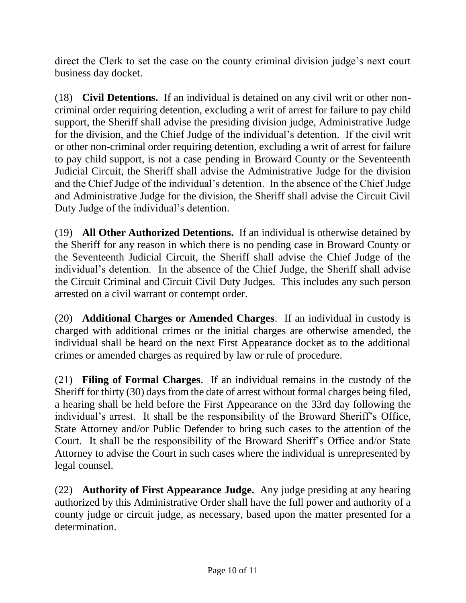direct the Clerk to set the case on the county criminal division judge's next court business day docket.

(18) **Civil Detentions.** If an individual is detained on any civil writ or other noncriminal order requiring detention, excluding a writ of arrest for failure to pay child support, the Sheriff shall advise the presiding division judge, Administrative Judge for the division, and the Chief Judge of the individual's detention. If the civil writ or other non-criminal order requiring detention, excluding a writ of arrest for failure to pay child support, is not a case pending in Broward County or the Seventeenth Judicial Circuit, the Sheriff shall advise the Administrative Judge for the division and the Chief Judge of the individual's detention. In the absence of the Chief Judge and Administrative Judge for the division, the Sheriff shall advise the Circuit Civil Duty Judge of the individual's detention.

(19) **All Other Authorized Detentions.** If an individual is otherwise detained by the Sheriff for any reason in which there is no pending case in Broward County or the Seventeenth Judicial Circuit, the Sheriff shall advise the Chief Judge of the individual's detention. In the absence of the Chief Judge, the Sheriff shall advise the Circuit Criminal and Circuit Civil Duty Judges. This includes any such person arrested on a civil warrant or contempt order.

(20) **Additional Charges or Amended Charges**. If an individual in custody is charged with additional crimes or the initial charges are otherwise amended, the individual shall be heard on the next First Appearance docket as to the additional crimes or amended charges as required by law or rule of procedure.

(21) **Filing of Formal Charges**. If an individual remains in the custody of the Sheriff for thirty (30) days from the date of arrest without formal charges being filed, a hearing shall be held before the First Appearance on the 33rd day following the individual's arrest. It shall be the responsibility of the Broward Sheriff's Office, State Attorney and/or Public Defender to bring such cases to the attention of the Court. It shall be the responsibility of the Broward Sheriff's Office and/or State Attorney to advise the Court in such cases where the individual is unrepresented by legal counsel.

(22) **Authority of First Appearance Judge.** Any judge presiding at any hearing authorized by this Administrative Order shall have the full power and authority of a county judge or circuit judge, as necessary, based upon the matter presented for a determination.